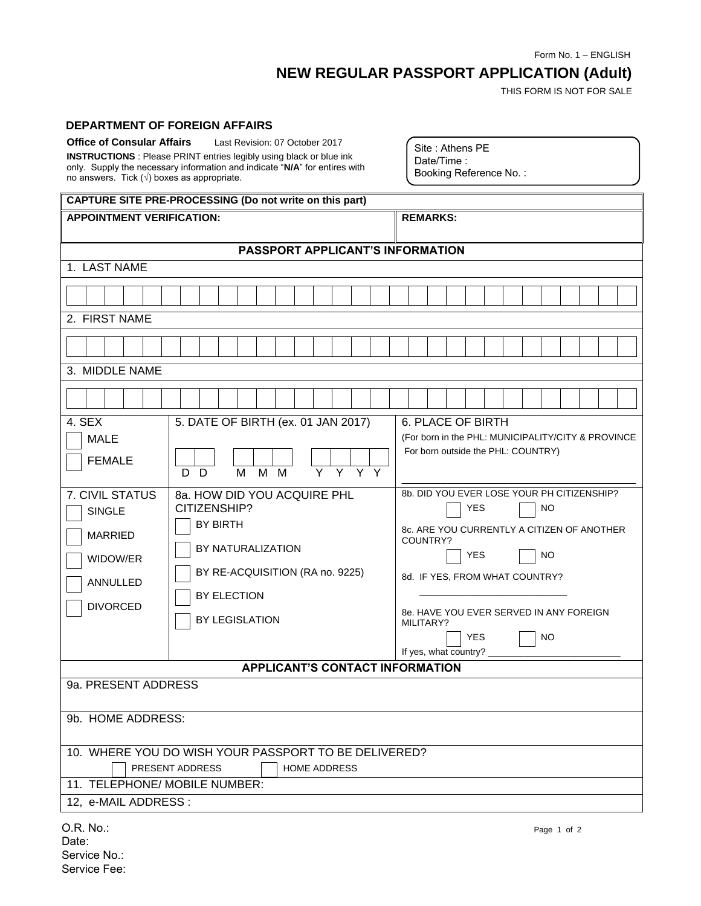Form No. 1 – ENGLISH

## **NEW REGULAR PASSPORT APPLICATION (Adult)**

THIS FORM IS NOT FOR SALE

## **DEPARTMENT OF FOREIGN AFFAIRS**

| <b>Office of Consular Affairs</b>                                          | Last Revision: 07 October 2017 |  |  |  |  |
|----------------------------------------------------------------------------|--------------------------------|--|--|--|--|
| <b>INSTRUCTIONS</b> : Please PRINT entries legibly using black or blue ink |                                |  |  |  |  |
| only. Supply the necessary information and indicate "N/A" for entires with |                                |  |  |  |  |
| no answers. Tick $(\sqrt{})$ boxes as appropriate.                         |                                |  |  |  |  |

Site : Athens PE Date/Time : Booking Reference No. :

| CAPTURE SITE PRE-PROCESSING (Do not write on this part)                                                                         |                                                                                                                                                                |                                                                                                                                                                                                                                                                                                      |  |  |  |
|---------------------------------------------------------------------------------------------------------------------------------|----------------------------------------------------------------------------------------------------------------------------------------------------------------|------------------------------------------------------------------------------------------------------------------------------------------------------------------------------------------------------------------------------------------------------------------------------------------------------|--|--|--|
| <b>APPOINTMENT VERIFICATION:</b>                                                                                                |                                                                                                                                                                | <b>REMARKS:</b>                                                                                                                                                                                                                                                                                      |  |  |  |
| PASSPORT APPLICANT'S INFORMATION                                                                                                |                                                                                                                                                                |                                                                                                                                                                                                                                                                                                      |  |  |  |
| 1. LAST NAME                                                                                                                    |                                                                                                                                                                |                                                                                                                                                                                                                                                                                                      |  |  |  |
|                                                                                                                                 |                                                                                                                                                                |                                                                                                                                                                                                                                                                                                      |  |  |  |
| 2. FIRST NAME                                                                                                                   |                                                                                                                                                                |                                                                                                                                                                                                                                                                                                      |  |  |  |
|                                                                                                                                 |                                                                                                                                                                |                                                                                                                                                                                                                                                                                                      |  |  |  |
| 3. MIDDLE NAME                                                                                                                  |                                                                                                                                                                |                                                                                                                                                                                                                                                                                                      |  |  |  |
|                                                                                                                                 |                                                                                                                                                                |                                                                                                                                                                                                                                                                                                      |  |  |  |
| 4. SEX<br><b>MALE</b><br><b>FEMALE</b>                                                                                          | 5. DATE OF BIRTH (ex. 01 JAN 2017)<br>$M$ $M$<br>M<br>D D                                                                                                      | <b>6. PLACE OF BIRTH</b><br>(For born in the PHL: MUNICIPALITY/CITY & PROVINCE<br>For born outside the PHL: COUNTRY)                                                                                                                                                                                 |  |  |  |
| <b>7. CIVIL STATUS</b><br><b>SINGLE</b><br><b>MARRIED</b><br>WIDOW/ER<br>ANNULLED<br><b>DIVORCED</b>                            | 8a, HOW DID YOU ACQUIRE PHL<br>CITIZENSHIP?<br><b>BY BIRTH</b><br>BY NATURALIZATION<br>BY RE-ACQUISITION (RA no. 9225)<br><b>BY ELECTION</b><br>BY LEGISLATION | 8b. DID YOU EVER LOSE YOUR PH CITIZENSHIP?<br><b>YES</b><br><b>NO</b><br>8c. ARE YOU CURRENTLY A CITIZEN OF ANOTHER<br>COUNTRY?<br><b>YES</b><br><b>NO</b><br>8d. IF YES, FROM WHAT COUNTRY?<br>8e. HAVE YOU EVER SERVED IN ANY FOREIGN<br>MILITARY?<br><b>YES</b><br>NO<br>If yes, what country? __ |  |  |  |
| <b>APPLICANT'S CONTACT INFORMATION</b>                                                                                          |                                                                                                                                                                |                                                                                                                                                                                                                                                                                                      |  |  |  |
| 9a. PRESENT ADDRESS<br>9b. HOME ADDRESS:                                                                                        |                                                                                                                                                                |                                                                                                                                                                                                                                                                                                      |  |  |  |
| 10. WHERE YOU DO WISH YOUR PASSPORT TO BE DELIVERED?<br>PRESENT ADDRESS<br><b>HOME ADDRESS</b><br>11. TELEPHONE/ MOBILE NUMBER: |                                                                                                                                                                |                                                                                                                                                                                                                                                                                                      |  |  |  |
| 12, e-MAIL ADDRESS :                                                                                                            |                                                                                                                                                                |                                                                                                                                                                                                                                                                                                      |  |  |  |
| O.R. No.:                                                                                                                       |                                                                                                                                                                | Page 1 of 2                                                                                                                                                                                                                                                                                          |  |  |  |